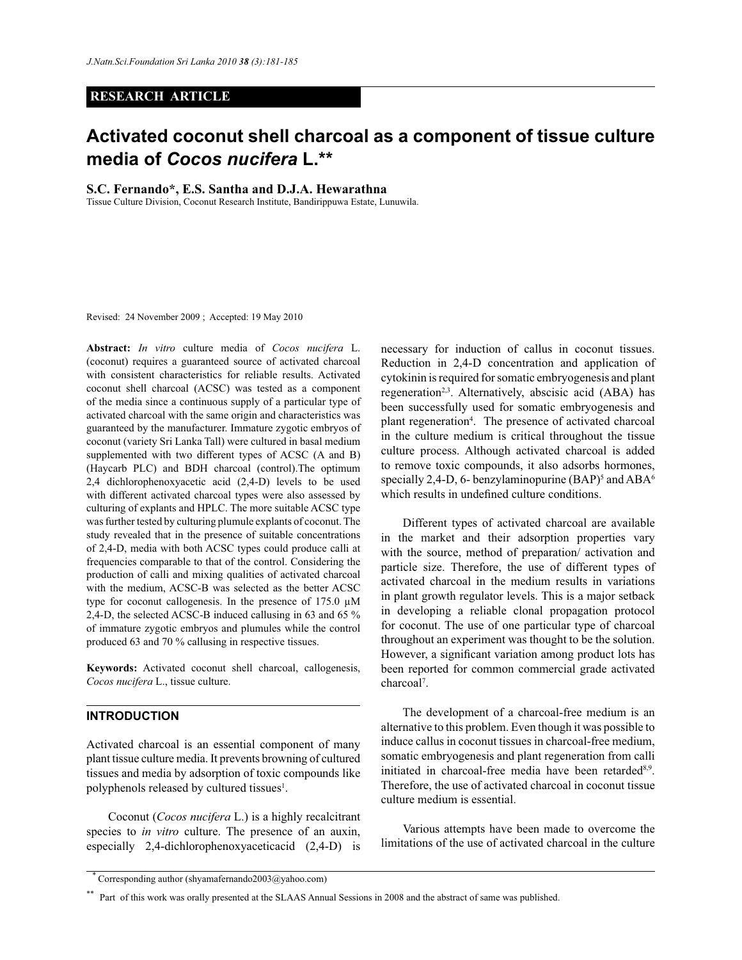### **RESEARCH ARTICLE**

# **Activated coconut shell charcoal as a component of tissue culture media of** *Cocos nucifera* **L.\*\***

**S.C. Fernando\*, E.S. Santha and D.J.A. Hewarathna**

Tissue Culture Division, Coconut Research Institute, Bandirippuwa Estate, Lunuwila.

Revised: 24 November 2009 ; Accepted: 19 May 2010

**Abstract:** *In vitro* culture media of *Cocos nucifera* L. (coconut) requires a guaranteed source of activated charcoal with consistent characteristics for reliable results. Activated coconut shell charcoal (ACSC) was tested as a component of the media since a continuous supply of a particular type of activated charcoal with the same origin and characteristics was guaranteed by the manufacturer. Immature zygotic embryos of coconut (variety Sri Lanka Tall) were cultured in basal medium supplemented with two different types of ACSC (A and B) (Haycarb PLC) and BDH charcoal (control).The optimum 2,4 dichlorophenoxyacetic acid (2,4-D) levels to be used with different activated charcoal types were also assessed by culturing of explants and HPLC. The more suitable ACSC type was further tested by culturing plumule explants of coconut. The study revealed that in the presence of suitable concentrations of 2,4-D, media with both ACSC types could produce calli at frequencies comparable to that of the control. Considering the production of calli and mixing qualities of activated charcoal with the medium, ACSC-B was selected as the better ACSC type for coconut callogenesis. In the presence of  $175.0 \mu M$ 2,4-D, the selected ACSC-B induced callusing in 63 and 65 % of immature zygotic embryos and plumules while the control produced 63 and 70 % callusing in respective tissues.

**Keywords:** Activated coconut shell charcoal, callogenesis, *Cocos nucifera* L., tissue culture.

# **INTRODUCTION**

Activated charcoal is an essential component of many plant tissue culture media. It prevents browning of cultured tissues and media by adsorption of toxic compounds like polyphenols released by cultured tissues<sup>1</sup>.

 Coconut (*Cocos nucifera* L.) is a highly recalcitrant species to *in vitro* culture. The presence of an auxin, especially 2,4-dichlorophenoxyaceticacid (2,4-D) is

necessary for induction of callus in coconut tissues. Reduction in 2,4-D concentration and application of cytokinin is required for somatic embryogenesis and plant regeneration<sup>2,3</sup>. Alternatively, abscisic acid (ABA) has been successfully used for somatic embryogenesis and plant regeneration<sup>4</sup>. The presence of activated charcoal in the culture medium is critical throughout the tissue culture process. Although activated charcoal is added to remove toxic compounds, it also adsorbs hormones, specially 2,4-D, 6- benzylaminopurine  $(BAP)^5$  and  $ABA^6$ which results in undefined culture conditions.

 Different types of activated charcoal are available in the market and their adsorption properties vary with the source, method of preparation/ activation and particle size. Therefore, the use of different types of activated charcoal in the medium results in variations in plant growth regulator levels. This is a major setback in developing a reliable clonal propagation protocol for coconut. The use of one particular type of charcoal throughout an experiment was thought to be the solution. However, a significant variation among product lots has been reported for common commercial grade activated charcoal<sup>7</sup>.

 The development of a charcoal-free medium is an alternative to this problem. Even though it was possible to induce callus in coconut tissues in charcoal-free medium, somatic embryogenesis and plant regeneration from calli initiated in charcoal-free media have been retarded<sup>8,9</sup>. Therefore, the use of activated charcoal in coconut tissue culture medium is essential.

 Various attempts have been made to overcome the limitations of the use of activated charcoal in the culture

 <sup>\*</sup> Corresponding author (shyamafernando2003@yahoo.com)

<sup>\*\*</sup> Part of this work was orally presented at the SLAAS Annual Sessions in 2008 and the abstract of same was published.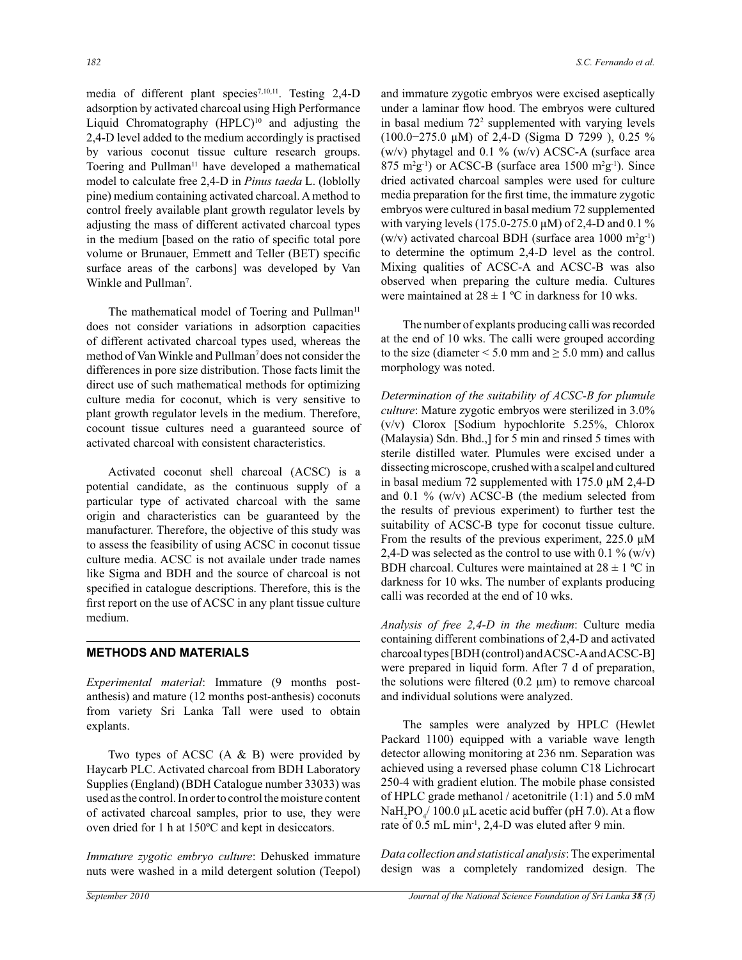media of different plant species<sup>7,10,11</sup>. Testing 2,4-D adsorption by activated charcoal using High Performance Liquid Chromatography (HPLC)<sup>10</sup> and adjusting the 2,4-D level added to the medium accordingly is practised by various coconut tissue culture research groups. Toering and Pullman<sup>11</sup> have developed a mathematical model to calculate free 2,4-D in *Pinus taeda* L. (loblolly pine) medium containing activated charcoal. A method to control freely available plant growth regulator levels by adjusting the mass of different activated charcoal types in the medium [based on the ratio of specific total pore volume or Brunauer, Emmett and Teller (BET) specific surface areas of the carbons] was developed by Van Winkle and Pullman<sup>7</sup>.

The mathematical model of Toering and Pullman<sup>11</sup> does not consider variations in adsorption capacities of different activated charcoal types used, whereas the method of Van Winkle and Pullman<sup>7</sup> does not consider the differences in pore size distribution. Those facts limit the direct use of such mathematical methods for optimizing culture media for coconut, which is very sensitive to plant growth regulator levels in the medium. Therefore, cocount tissue cultures need a guaranteed source of activated charcoal with consistent characteristics.

 Activated coconut shell charcoal (ACSC) is a potential candidate, as the continuous supply of a particular type of activated charcoal with the same origin and characteristics can be guaranteed by the manufacturer. Therefore, the objective of this study was to assess the feasibility of using ACSC in coconut tissue culture media. ACSC is not availale under trade names like Sigma and BDH and the source of charcoal is not specified in catalogue descriptions. Therefore, this is the first report on the use of ACSC in any plant tissue culture medium.

#### **METHODS AND MATERIALS**

*Experimental material*: Immature (9 months postanthesis) and mature (12 months post-anthesis) coconuts from variety Sri Lanka Tall were used to obtain explants.

 Two types of ACSC (A & B) were provided by Haycarb PLC. Activated charcoal from BDH Laboratory Supplies (England) (BDH Catalogue number 33033) was used as the control. In order to control the moisture content of activated charcoal samples, prior to use, they were oven dried for 1 h at 150ºC and kept in desiccators.

*Immature zygotic embryo culture*: Dehusked immature nuts were washed in a mild detergent solution (Teepol) and immature zygotic embryos were excised aseptically under a laminar flow hood. The embryos were cultured in basal medium 72<sup>2</sup> supplemented with varying levels (100.0−275.0 µM) of 2,4-D (Sigma D 7299 ), 0.25 % (w/v) phytagel and 0.1 % (w/v) ACSC-A (surface area  $875 \text{ m}^2\text{g}^{-1}$ ) or ACSC-B (surface area 1500 m<sup>2</sup>g<sup>-1</sup>). Since dried activated charcoal samples were used for culture media preparation for the first time, the immature zygotic embryos were cultured in basal medium 72 supplemented with varying levels (175.0-275.0  $\mu$ M) of 2,4-D and 0.1 % (w/v) activated charcoal BDH (surface area  $1000 \text{ m}^2\text{g}^{-1}$ ) to determine the optimum 2,4-D level as the control. Mixing qualities of ACSC-A and ACSC-B was also observed when preparing the culture media. Cultures were maintained at  $28 \pm 1$  °C in darkness for 10 wks.

 The number of explants producing calli was recorded at the end of 10 wks. The calli were grouped according to the size (diameter  $\le$  5.0 mm and  $\ge$  5.0 mm) and callus morphology was noted.

*Determination of the suitability of ACSC-B for plumule culture*: Mature zygotic embryos were sterilized in 3.0% (v/v) Clorox [Sodium hypochlorite 5.25%, Chlorox (Malaysia) Sdn. Bhd.,] for 5 min and rinsed 5 times with sterile distilled water. Plumules were excised under a dissecting microscope, crushed with a scalpel and cultured in basal medium 72 supplemented with 175.0 µM 2,4-D and 0.1  $\%$  (w/v) ACSC-B (the medium selected from the results of previous experiment) to further test the suitability of ACSC-B type for coconut tissue culture. From the results of the previous experiment, 225.0  $\mu$ M 2,4-D was selected as the control to use with 0.1 % (w/v) BDH charcoal. Cultures were maintained at  $28 \pm 1$  °C in darkness for 10 wks. The number of explants producing calli was recorded at the end of 10 wks.

*Analysis of free 2,4-D in the medium*: Culture media containing different combinations of 2,4-D and activated charcoal types [BDH (control) and ACSC-A and ACSC-B] were prepared in liquid form. After 7 d of preparation, the solutions were filtered  $(0.2 \mu m)$  to remove charcoal and individual solutions were analyzed.

 The samples were analyzed by HPLC (Hewlet Packard 1100) equipped with a variable wave length detector allowing monitoring at 236 nm. Separation was achieved using a reversed phase column C18 Lichrocart 250-4 with gradient elution. The mobile phase consisted of HPLC grade methanol / acetonitrile (1:1) and 5.0 mM NaH<sub>2</sub>PO<sub>4</sub> $/$  100.0 µL acetic acid buffer (pH 7.0). At a flow rate of 0.5 mL min<sup>-1</sup>, 2,4-D was eluted after 9 min.

*Data collection and statistical analysis*: The experimental design was a completely randomized design. The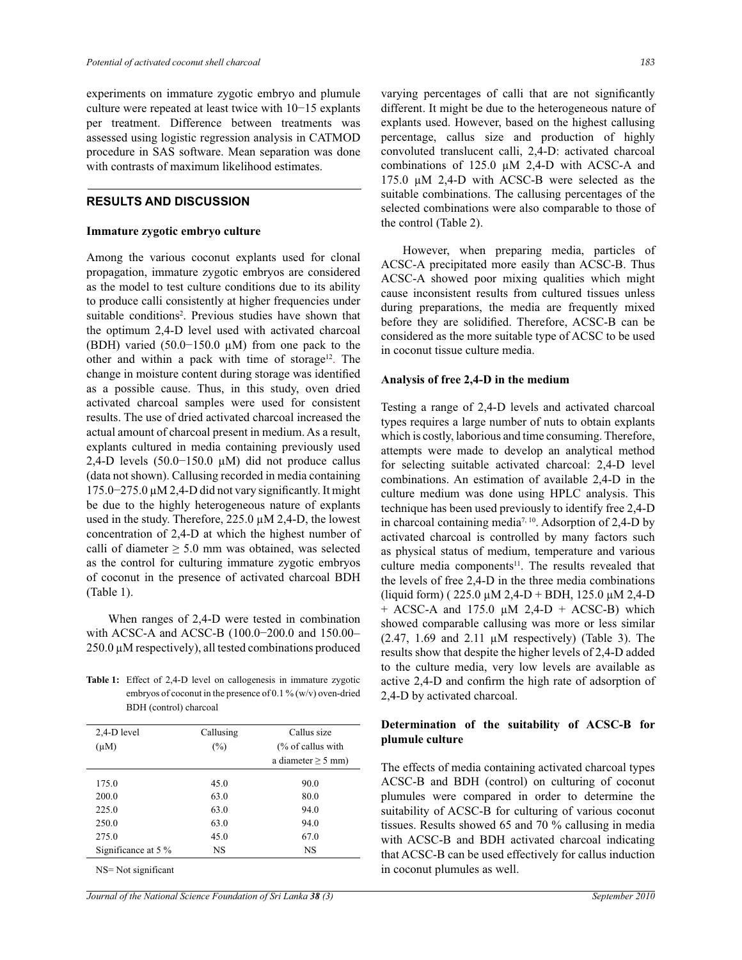experiments on immature zygotic embryo and plumule culture were repeated at least twice with 10−15 explants per treatment. Difference between treatments was assessed using logistic regression analysis in CATMOD procedure in SAS software. Mean separation was done with contrasts of maximum likelihood estimates.

#### **RESULTS AND DISCUSSION**

#### **Immature zygotic embryo culture**

Among the various coconut explants used for clonal propagation, immature zygotic embryos are considered as the model to test culture conditions due to its ability to produce calli consistently at higher frequencies under suitable conditions<sup>2</sup> . Previous studies have shown that the optimum 2,4-D level used with activated charcoal (BDH) varied (50.0−150.0 µM) from one pack to the other and within a pack with time of storage<sup>12</sup>. The change in moisture content during storage was identified as a possible cause. Thus, in this study, oven dried activated charcoal samples were used for consistent results. The use of dried activated charcoal increased the actual amount of charcoal present in medium. As a result, explants cultured in media containing previously used 2,4-D levels (50.0−150.0 µM) did not produce callus (data not shown). Callusing recorded in media containing 175.0−275.0 µM 2,4-D did not vary significantly. It might be due to the highly heterogeneous nature of explants used in the study. Therefore,  $225.0 \mu M 2,4-D$ , the lowest concentration of 2,4-D at which the highest number of calli of diameter  $\geq 5.0$  mm was obtained, was selected as the control for culturing immature zygotic embryos of coconut in the presence of activated charcoal BDH (Table 1).

 When ranges of 2,4-D were tested in combination with ACSC-A and ACSC-B (100.0−200.0 and 150.00− 250.0 µM respectively), all tested combinations produced

Table 1: Effect of 2,4-D level on callogenesis in immature zygotic embryos of coconut in the presence of 0.1 % (w/v) oven-dried BDH (control) charcoal

| 2,4-D level         | Callusing | Callus size                  |
|---------------------|-----------|------------------------------|
| $(\mu M)$           | $(\%)$    | $\frac{9}{6}$ of callus with |
|                     |           | a diameter $\geq$ 5 mm)      |
| 175.0               | 45.0      | 90.0                         |
| 200.0               | 63.0      | 80.0                         |
| 225.0               | 63.0      | 94.0                         |
| 250.0               | 63.0      | 94.0                         |
| 275.0               | 45.0      | 67.0                         |
| Significance at 5 % | <b>NS</b> | <b>NS</b>                    |

NS= Not significant

varying percentages of calli that are not significantly different. It might be due to the heterogeneous nature of explants used. However, based on the highest callusing percentage, callus size and production of highly convoluted translucent calli, 2,4-D: activated charcoal combinations of 125.0 µM 2,4-D with ACSC-A and 175.0 µM 2,4-D with ACSC-B were selected as the suitable combinations. The callusing percentages of the selected combinations were also comparable to those of the control (Table 2).

However, when preparing media, particles of ACSC-A precipitated more easily than ACSC-B. Thus ACSC-A showed poor mixing qualities which might cause inconsistent results from cultured tissues unless during preparations, the media are frequently mixed before they are solidified. Therefore, ACSC-B can be considered as the more suitable type of ACSC to be used in coconut tissue culture media.

#### **Analysis of free 2,4-D in the medium**

Testing a range of 2,4-D levels and activated charcoal types requires a large number of nuts to obtain explants which is costly, laborious and time consuming. Therefore, attempts were made to develop an analytical method for selecting suitable activated charcoal: 2,4-D level combinations. An estimation of available 2,4-D in the culture medium was done using HPLC analysis. This technique has been used previously to identify free 2,4-D in charcoal containing media<sup>7, 10</sup>. Adsorption of 2,4-D by activated charcoal is controlled by many factors such as physical status of medium, temperature and various culture media components<sup>11</sup>. The results revealed that the levels of free 2,4-D in the three media combinations (liquid form) ( $225.0 \mu M 2,4-D + BDH$ ,  $125.0 \mu M 2,4-D$  $+$  ACSC-A and 175.0  $\mu$ M 2,4-D  $+$  ACSC-B) which showed comparable callusing was more or less similar  $(2.47, 1.69 \text{ and } 2.11 \mu \text{M respectively})$  (Table 3). The results show that despite the higher levels of 2,4-D added to the culture media, very low levels are available as active 2,4-D and confirm the high rate of adsorption of 2,4-D by activated charcoal.

## **Determination of the suitability of ACSC-B for plumule culture**

The effects of media containing activated charcoal types ACSC-B and BDH (control) on culturing of coconut plumules were compared in order to determine the suitability of ACSC-B for culturing of various coconut tissues. Results showed 65 and 70 % callusing in media with ACSC-B and BDH activated charcoal indicating that ACSC-B can be used effectively for callus induction in coconut plumules as well.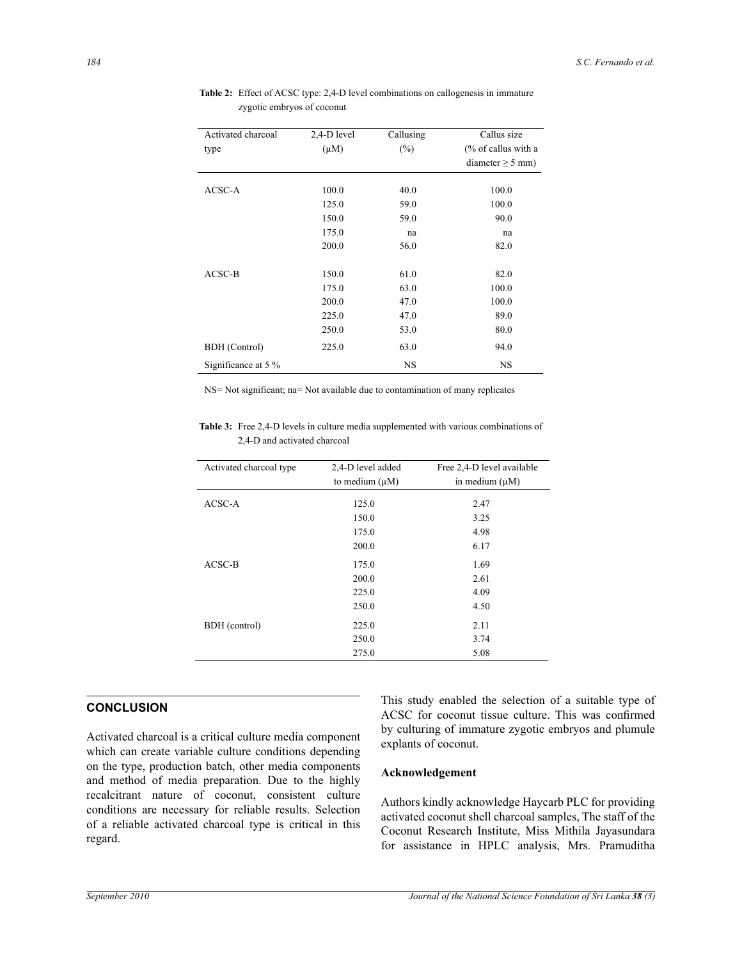| Activated charcoal   | 2,4-D level | Callusing | Callus size                    |
|----------------------|-------------|-----------|--------------------------------|
| type                 | $(\mu M)$   | $(\%)$    | $\frac{6}{6}$ of callus with a |
|                      |             |           | diameter $\geq$ 5 mm)          |
| ACSC-A               | 100.0       | 40.0      | 100.0                          |
|                      | 125.0       | 59.0      | 100.0                          |
|                      | 150.0       | 59.0      | 90.0                           |
|                      | 175.0       | na        | na                             |
|                      | 200.0       | 56.0      | 82.0                           |
| $ACSC-B$             | 150.0       | 61.0      | 82.0                           |
|                      | 175.0       | 63.0      | 100.0                          |
|                      | 200.0       | 47.0      | 100.0                          |
|                      | 225.0       | 47.0      | 89.0                           |
|                      | 250.0       | 53.0      | 80.0                           |
| <b>BDH</b> (Control) | 225.0       | 63.0      | 94.0                           |
| Significance at 5 %  |             | NS        | NS                             |

 **Table 2:** Effect of ACSC type: 2,4-D level combinations on callogenesis in immature zygotic embryos of coconut

NS= Not significant; na= Not available due to contamination of many replicates

**Table 3:** Free 2,4-D levels in culture media supplemented with various combinations of 2,4-D and activated charcoal

| Activated charcoal type | 2,4-D level added<br>to medium $(\mu M)$ | Free 2,4-D level available<br>in medium $(\mu M)$ |
|-------------------------|------------------------------------------|---------------------------------------------------|
| ACSC-A                  | 125.0                                    | 2.47                                              |
|                         | 150.0                                    | 3.25                                              |
|                         | 175.0                                    | 4.98                                              |
|                         | 200.0                                    | 6.17                                              |
| $ACSC-B$                | 175.0                                    | 1.69                                              |
|                         | 200.0                                    | 2.61                                              |
|                         | 225.0                                    | 4.09                                              |
|                         | 250.0                                    | 4.50                                              |
| BDH (control)           | 225.0                                    | 2.11                                              |
|                         | 250.0                                    | 3.74                                              |
|                         | 275.0                                    | 5.08                                              |

# **CONCLUSION**

Activated charcoal is a critical culture media component which can create variable culture conditions depending on the type, production batch, other media components and method of media preparation. Due to the highly recalcitrant nature of coconut, consistent culture conditions are necessary for reliable results. Selection of a reliable activated charcoal type is critical in this regard.

This study enabled the selection of a suitable type of ACSC for coconut tissue culture. This was confirmed by culturing of immature zygotic embryos and plumule explants of coconut.

#### **Acknowledgement**

Authors kindly acknowledge Haycarb PLC for providing activated coconut shell charcoal samples, The staff of the Coconut Research Institute, Miss Mithila Jayasundara for assistance in HPLC analysis, Mrs. Pramuditha